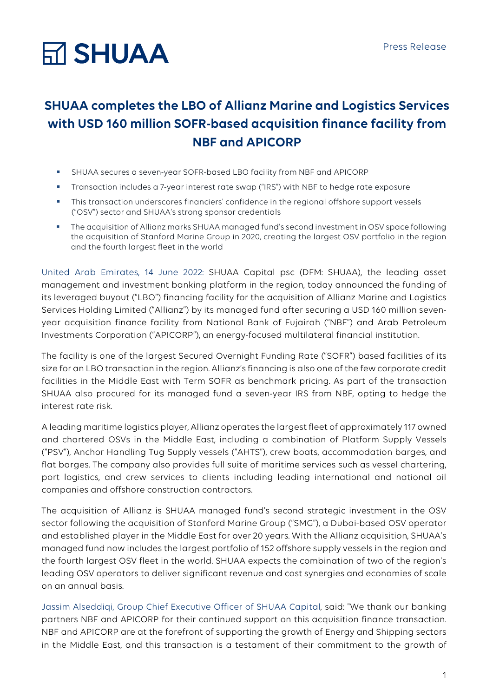# **Ѭ SHUAA**

### **SHUAA completes the LBO of Allianz Marine and Logistics Services with USD 160 million SOFR-based acquisition finance facility from NBF and APICORP**

- § SHUAA secures a seven-year SOFR-based LBO facility from NBF and APICORP
- § Transaction includes a 7-year interest rate swap ("IRS") with NBF to hedge rate exposure
- This transaction underscores financiers' confidence in the regional offshore support vessels ("OSV") sector and SHUAA's strong sponsor credentials
- § The acquisition of Allianz marks SHUAA managed fund's second investment in OSV space following the acquisition of Stanford Marine Group in 2020, creating the largest OSV portfolio in the region and the fourth largest fleet in the world

United Arab Emirates, 14 June 2022: SHUAA Capital psc (DFM: SHUAA), the leading asset management and investment banking platform in the region, today announced the funding of its leveraged buyout ("LBO") financing facility for the acquisition of Allianz Marine and Logistics Services Holding Limited ("Allianz") by its managed fund after securing a USD 160 million sevenyear acquisition finance facility from National Bank of Fujairah ("NBF") and Arab Petroleum Investments Corporation ("APICORP"), an energy-focused multilateral financial institution.

The facility is one of the largest Secured Overnight Funding Rate ("SOFR") based facilities of its size for an LBO transaction in the region. Allianz's financing is also one of the few corporate credit facilities in the Middle East with Term SOFR as benchmark pricing. As part of the transaction SHUAA also procured for its managed fund a seven-year IRS from NBF, opting to hedge the interest rate risk.

A leading maritime logistics player, Allianz operates the largest fleet of approximately 117 owned and chartered OSVs in the Middle East, including a combination of Platform Supply Vessels ("PSV"), Anchor Handling Tug Supply vessels ("AHTS"), crew boats, accommodation barges, and flat barges. The company also provides full suite of maritime services such as vessel chartering, port logistics, and crew services to clients including leading international and national oil companies and offshore construction contractors.

The acquisition of Allianz is SHUAA managed fund's second strategic investment in the OSV sector following the acquisition of Stanford Marine Group ("SMG"), a Dubai-based OSV operator and established player in the Middle East for over 20 years. With the Allianz acquisition, SHUAA's managed fund now includes the largest portfolio of 152 offshore supply vessels in the region and the fourth largest OSV fleet in the world. SHUAA expects the combination of two of the region's leading OSV operators to deliver significant revenue and cost synergies and economies of scale on an annual basis.

Jassim Alseddiqi, Group Chief Executive Officer of SHUAA Capital, said: "We thank our banking partners NBF and APICORP for their continued support on this acquisition finance transaction. NBF and APICORP are at the forefront of supporting the growth of Energy and Shipping sectors in the Middle East, and this transaction is a testament of their commitment to the growth of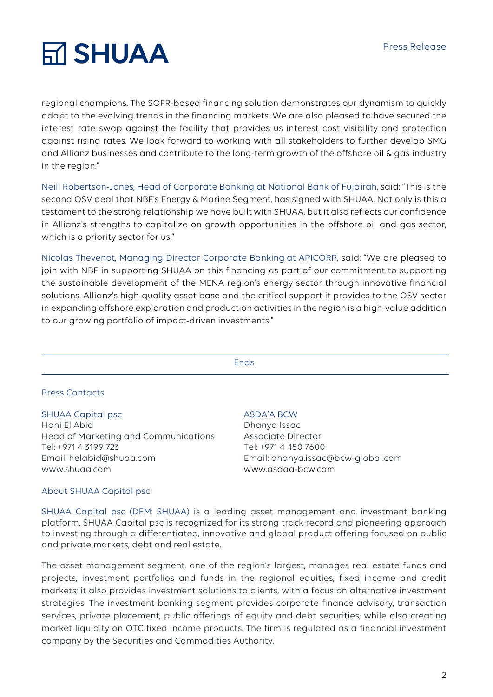# **RT SHUAA**

regional champions. The SOFR-based financing solution demonstrates our dynamism to quickly adapt to the evolving trends in the financing markets. We are also pleased to have secured the interest rate swap against the facility that provides us interest cost visibility and protection against rising rates. We look forward to working with all stakeholders to further develop SMG and Allianz businesses and contribute to the long-term growth of the offshore oil & gas industry in the region."

Neill Robertson-Jones, Head of Corporate Banking at National Bank of Fujairah, said: "This is the second OSV deal that NBF's Energy & Marine Segment, has signed with SHUAA. Not only is this a testament to the strong relationship we have built with SHUAA, but it also reflects our confidence in Allianz's strengths to capitalize on growth opportunities in the offshore oil and gas sector, which is a priority sector for us."

Nicolas Thevenot, Managing Director Corporate Banking at APICORP, said: "We are pleased to join with NBF in supporting SHUAA on this financing as part of our commitment to supporting the sustainable development of the MENA region's energy sector through innovative financial solutions. Allianz's high-quality asset base and the critical support it provides to the OSV sector in expanding offshore exploration and production activities in the region is a high-value addition to our growing portfolio of impact-driven investments."

Ends

### Press Contacts

### SHUAA Capital psc

Hani El Abid Head of Marketing and Communications Tel: +971 4 3199 723 Email: helabid@shuaa.com www.shuaa.com

### ASDA'A BCW

Dhanya Issac Associate Director Tel: +971 4 450 7600 Email: dhanya.issac@bcw-global.com www.asdaa-bcw.com

### About SHUAA Capital psc

SHUAA Capital psc (DFM: SHUAA) is a leading asset management and investment banking platform. SHUAA Capital psc is recognized for its strong track record and pioneering approach to investing through a differentiated, innovative and global product offering focused on public and private markets, debt and real estate.

The asset management segment, one of the region's largest, manages real estate funds and projects, investment portfolios and funds in the regional equities, fixed income and credit markets; it also provides investment solutions to clients, with a focus on alternative investment strategies. The investment banking segment provides corporate finance advisory, transaction services, private placement, public offerings of equity and debt securities, while also creating market liquidity on OTC fixed income products. The firm is regulated as a financial investment company by the Securities and Commodities Authority.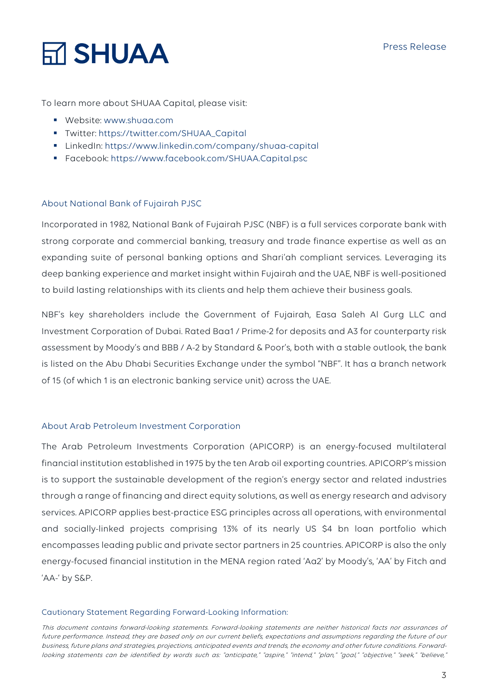## **Ѭ SHUAA**

To learn more about SHUAA Capital, please visit:

- § Website: www.shuaa.com
- § Twitter: https://twitter.com/SHUAA\_Capital
- § LinkedIn: https://www.linkedin.com/company/shuaa-capital
- § Facebook: https://www.facebook.com/SHUAA.Capital.psc

### About National Bank of Fujairah PJSC

Incorporated in 1982, National Bank of Fujairah PJSC (NBF) is a full services corporate bank with strong corporate and commercial banking, treasury and trade finance expertise as well as an expanding suite of personal banking options and Shari'ah compliant services. Leveraging its deep banking experience and market insight within Fujairah and the UAE, NBF is well-positioned to build lasting relationships with its clients and help them achieve their business goals.

NBF's key shareholders include the Government of Fujairah, Easa Saleh Al Gurg LLC and Investment Corporation of Dubai. Rated Baa1 / Prime-2 for deposits and A3 for counterparty risk assessment by Moody's and BBB / A-2 by Standard & Poor's, both with a stable outlook, the bank is listed on the Abu Dhabi Securities Exchange under the symbol "NBF". It has a branch network of 15 (of which 1 is an electronic banking service unit) across the UAE.

### About Arab Petroleum Investment Corporation

The Arab Petroleum Investments Corporation (APICORP) is an energy-focused multilateral financial institution established in 1975 by the ten Arab oil exporting countries. APICORP's mission is to support the sustainable development of the region's energy sector and related industries through a range of financing and direct equity solutions, as well as energy research and advisory services. APICORP applies best-practice ESG principles across all operations, with environmental and socially-linked projects comprising 13% of its nearly US \$4 bn loan portfolio which encompasses leading public and private sector partners in 25 countries. APICORP is also the only energy-focused financial institution in the MENA region rated 'Aa2' by Moody's, 'AA' by Fitch and 'AA-' by S&P.

### Cautionary Statement Regarding Forward-Looking Information:

This document contains forward-looking statements. Forward-looking statements are neither historical facts nor assurances of future performance. Instead, they are based only on our current beliefs, expectations and assumptions regarding the future of our business, future plans and strategies, projections, anticipated events and trends, the economy and other future conditions. Forwardlooking statements can be identified by words such as: "anticipate," "aspire," "intend," "plan," "goal," "objective," "seek," "believe,"